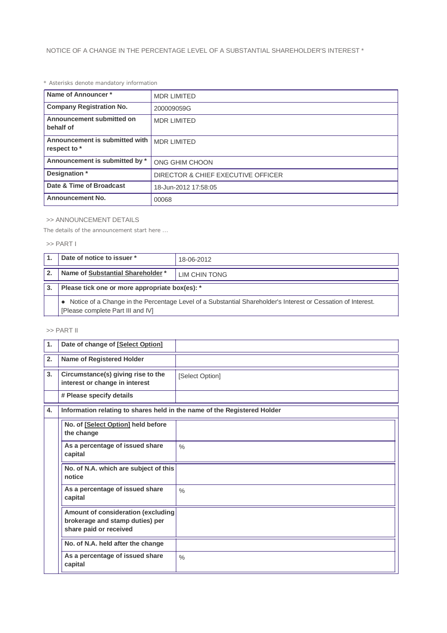# *\* Asterisks denote mandatory information*

| Name of Announcer*                             | <b>MDR LIMITED</b>                 |  |
|------------------------------------------------|------------------------------------|--|
| <b>Company Registration No.</b>                | 200009059G                         |  |
| Announcement submitted on<br>behalf of         | <b>MDR LIMITED</b>                 |  |
| Announcement is submitted with<br>respect to * | <b>MDR LIMITED</b>                 |  |
| Announcement is submitted by *                 | ONG GHIM CHOON                     |  |
| Designation *                                  | DIRECTOR & CHIEF EXECUTIVE OFFICER |  |
| Date & Time of Broadcast                       | 18-Jun-2012 17:58:05               |  |
| <b>Announcement No.</b>                        | 00068                              |  |

## >> ANNOUNCEMENT DETAILS

*The details of the announcement start here ...*

## >> PART I

|              | Date of notice to issuer *                                                                                                                          | 18-06-2012    |  |  |
|--------------|-----------------------------------------------------------------------------------------------------------------------------------------------------|---------------|--|--|
| $\mathbf{2}$ | Name of Substantial Shareholder *                                                                                                                   | LIM CHIN TONG |  |  |
| 3.           | Please tick one or more appropriate box(es): *                                                                                                      |               |  |  |
|              | • Notice of a Change in the Percentage Level of a Substantial Shareholder's Interest or Cessation of Interest.<br>[Please complete Part III and IV] |               |  |  |

# >> PART II

| 1. | Date of change of [Select Option]                                                               |                 |  |  |
|----|-------------------------------------------------------------------------------------------------|-----------------|--|--|
| 2. | <b>Name of Registered Holder</b>                                                                |                 |  |  |
| 3. | Circumstance(s) giving rise to the<br>interest or change in interest                            | [Select Option] |  |  |
|    | # Please specify details                                                                        |                 |  |  |
| 4. | Information relating to shares held in the name of the Registered Holder                        |                 |  |  |
|    | No. of [Select Option] held before<br>the change                                                |                 |  |  |
|    | As a percentage of issued share<br>capital                                                      | $\frac{0}{0}$   |  |  |
|    | No. of N.A. which are subject of this<br>notice                                                 |                 |  |  |
|    | As a percentage of issued share<br>capital                                                      | $\frac{0}{0}$   |  |  |
|    | Amount of consideration (excluding<br>brokerage and stamp duties) per<br>share paid or received |                 |  |  |
|    | No. of N.A. held after the change                                                               |                 |  |  |
|    | As a percentage of issued share<br>capital                                                      | $\frac{0}{0}$   |  |  |